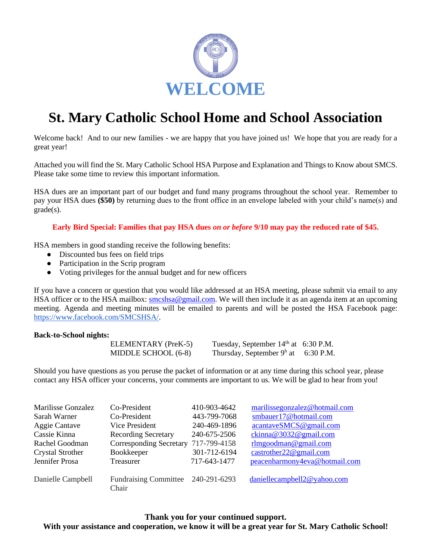

# **St. Mary Catholic School Home and School Association**

Welcome back! And to our new families - we are happy that you have joined us! We hope that you are ready for a great year!

Attached you will find the St. Mary Catholic School HSA Purpose and Explanation and Things to Know about SMCS. Please take some time to review this important information.

HSA dues are an important part of our budget and fund many programs throughout the school year. Remember to pay your HSA dues **(\$50)** by returning dues to the front office in an envelope labeled with your child's name(s) and grade(s).

#### **Early Bird Special: Families that pay HSA dues** *on or before* **9/10 may pay the reduced rate of \$45.**

HSA members in good standing receive the following benefits:

- Discounted bus fees on field trips
- Participation in the Scrip program
- Voting privileges for the annual budget and for new officers

If you have a concern or question that you would like addressed at an HSA meeting, please submit via email to any HSA officer or to the HSA mailbox: [smcshsa@gmail.com.](mailto:smcshsa@gmail.com) We will then include it as an agenda item at an upcoming meeting. Agenda and meeting minutes will be emailed to parents and will be posted the HSA Facebook page: [https://www.facebook.com/SMCSHSA/.](https://www.facebook.com/SMCSHSA/)

#### **Back-to-School nights:**

| ELEMENTARY (PreK-5) | Tuesday, September $14th$ at 6:30 P.M. |  |
|---------------------|----------------------------------------|--|
| MIDDLE SCHOOL (6-8) | Thursday, September $9^h$ at 6:30 P.M. |  |

Should you have questions as you peruse the packet of information or at any time during this school year, please contact any HSA officer your concerns, your comments are important to us. We will be glad to hear from you!

| Marilisse Gonzalez      | Co-President                                | 410-903-4642 | marilissegonzalez@hotmail.com |
|-------------------------|---------------------------------------------|--------------|-------------------------------|
| Sarah Warner            | Co-President                                | 443-799-7068 | smbauer17@hotmail.com         |
| Aggie Cantave           | Vice President                              | 240-469-1896 | acantaveSMCS@gmail.com        |
| Cassie Kinna            | <b>Recording Secretary</b>                  | 240-675-2506 | ckinna@3032@gmail.com         |
| Rachel Goodman          | Corresponding Secretary 717-799-4158        |              | $rlm$ goodman@gmail.com       |
| <b>Crystal Strother</b> | Bookkeeper                                  | 301-712-6194 | castrother22@gmail.com        |
| Jennifer Prosa          | Treasurer                                   | 717-643-1477 | peacenharmony4eva@hotmail.com |
| Danielle Campbell       | Fundraising Committee 240-291-6293<br>Chair |              | daniellecampbell2@yahoo.com   |

## **Thank you for your continued support. With your assistance and cooperation, we know it will be a great year for St. Mary Catholic School!**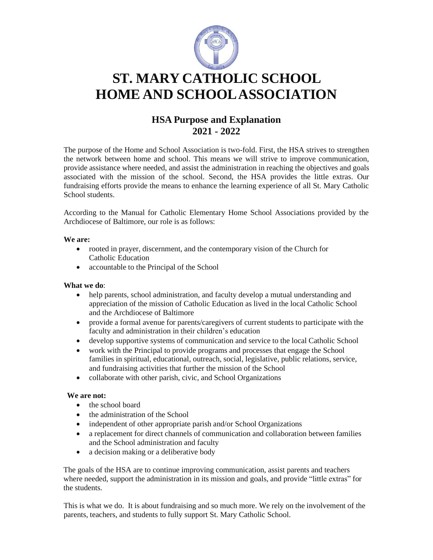

# **ST. MARY CATHOLIC SCHOOL HOME AND SCHOOLASSOCIATION**

## **HSA Purpose and Explanation 2021 - 2022**

The purpose of the Home and School Association is two-fold. First, the HSA strives to strengthen the network between home and school. This means we will strive to improve communication, provide assistance where needed, and assist the administration in reaching the objectives and goals associated with the mission of the school. Second, the HSA provides the little extras. Our fundraising efforts provide the means to enhance the learning experience of all St. Mary Catholic School students.

According to the Manual for Catholic Elementary Home School Associations provided by the Archdiocese of Baltimore, our role is as follows:

#### **We are:**

- rooted in prayer, discernment, and the contemporary vision of the Church for Catholic Education
- accountable to the Principal of the School

#### **What we do**:

- help parents, school administration, and faculty develop a mutual understanding and appreciation of the mission of Catholic Education as lived in the local Catholic School and the Archdiocese of Baltimore
- provide a formal avenue for parents/caregivers of current students to participate with the faculty and administration in their children's education
- develop supportive systems of communication and service to the local Catholic School
- work with the Principal to provide programs and processes that engage the School families in spiritual, educational, outreach, social, legislative, public relations, service, and fundraising activities that further the mission of the School
- collaborate with other parish, civic, and School Organizations

#### **We are not:**

- the school board
- the administration of the School
- independent of other appropriate parish and/or School Organizations
- a replacement for direct channels of communication and collaboration between families and the School administration and faculty
- a decision making or a deliberative body

The goals of the HSA are to continue improving communication, assist parents and teachers where needed, support the administration in its mission and goals, and provide "little extras" for the students.

This is what we do. It is about fundraising and so much more. We rely on the involvement of the parents, teachers, and students to fully support St. Mary Catholic School.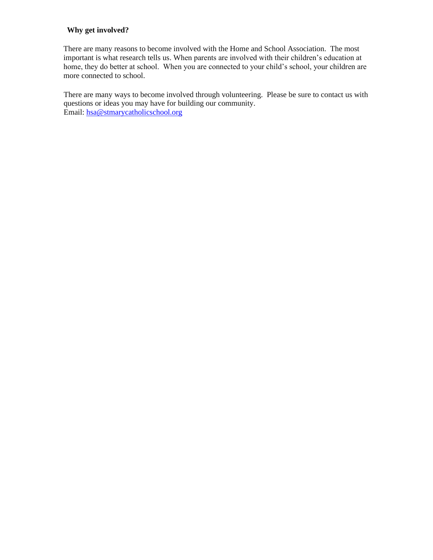### **Why get involved?**

There are many reasons to become involved with the Home and School Association. The most important is what research tells us. When parents are involved with their children's education at home, they do better at school. When you are connected to your child's school, your children are more connected to school.

There are many ways to become involved through volunteering. Please be sure to contact us with questions or ideas you may have for building our community. Email: [hsa@stmarycatholicschool.org](mailto:hsa@stmarycatholicschool.org)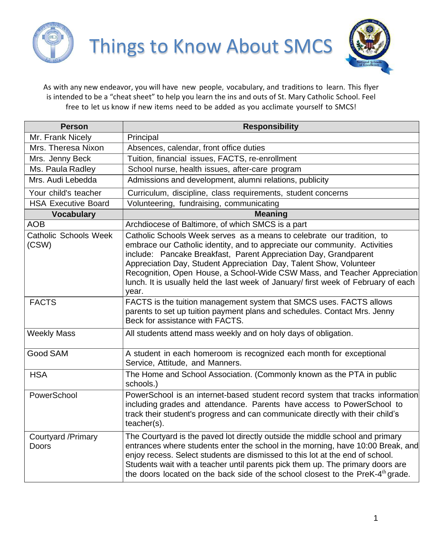



As with any new endeavor, you will have new people, vocabulary, and traditions to learn. This flyer is intended to be a "cheat sheet" to help you learn the ins and outs of St. Mary Catholic School. Feel free to let us know if new items need to be added as you acclimate yourself to SMCS!

| <b>Person</b>                         | <b>Responsibility</b>                                                                                                                                                                                                                                                                                                                                                                                                                                                      |
|---------------------------------------|----------------------------------------------------------------------------------------------------------------------------------------------------------------------------------------------------------------------------------------------------------------------------------------------------------------------------------------------------------------------------------------------------------------------------------------------------------------------------|
| Mr. Frank Nicely                      | Principal                                                                                                                                                                                                                                                                                                                                                                                                                                                                  |
| Mrs. Theresa Nixon                    | Absences, calendar, front office duties                                                                                                                                                                                                                                                                                                                                                                                                                                    |
| Mrs. Jenny Beck                       | Tuition, financial issues, FACTS, re-enrollment                                                                                                                                                                                                                                                                                                                                                                                                                            |
| Ms. Paula Radley                      | School nurse, health issues, after-care program                                                                                                                                                                                                                                                                                                                                                                                                                            |
| Mrs. Audi Lebedda                     | Admissions and development, alumni relations, publicity                                                                                                                                                                                                                                                                                                                                                                                                                    |
| Your child's teacher                  | Curriculum, discipline, class requirements, student concerns                                                                                                                                                                                                                                                                                                                                                                                                               |
| <b>HSA Executive Board</b>            | Volunteering, fundraising, communicating                                                                                                                                                                                                                                                                                                                                                                                                                                   |
| <b>Vocabulary</b>                     | <b>Meaning</b>                                                                                                                                                                                                                                                                                                                                                                                                                                                             |
| <b>AOB</b>                            | Archdiocese of Baltimore, of which SMCS is a part                                                                                                                                                                                                                                                                                                                                                                                                                          |
| <b>Catholic Schools Week</b><br>(CSW) | Catholic Schools Week serves as a means to celebrate our tradition, to<br>embrace our Catholic identity, and to appreciate our community. Activities<br>include: Pancake Breakfast, Parent Appreciation Day, Grandparent<br>Appreciation Day, Student Appreciation Day, Talent Show, Volunteer<br>Recognition, Open House, a School-Wide CSW Mass, and Teacher Appreciation<br>lunch. It is usually held the last week of January/ first week of February of each<br>year. |
| <b>FACTS</b>                          | FACTS is the tuition management system that SMCS uses. FACTS allows<br>parents to set up tuition payment plans and schedules. Contact Mrs. Jenny<br>Beck for assistance with FACTS.                                                                                                                                                                                                                                                                                        |
| <b>Weekly Mass</b>                    | All students attend mass weekly and on holy days of obligation.                                                                                                                                                                                                                                                                                                                                                                                                            |
| <b>Good SAM</b>                       | A student in each homeroom is recognized each month for exceptional<br>Service, Attitude, and Manners.                                                                                                                                                                                                                                                                                                                                                                     |
| <b>HSA</b>                            | The Home and School Association. (Commonly known as the PTA in public<br>schools.)                                                                                                                                                                                                                                                                                                                                                                                         |
| PowerSchool                           | PowerSchool is an internet-based student record system that tracks information<br>including grades and attendance. Parents have access to PowerSchool to<br>track their student's progress and can communicate directly with their child's<br>teacher(s).                                                                                                                                                                                                                  |
| Courtyard / Primary<br><b>Doors</b>   | The Courtyard is the paved lot directly outside the middle school and primary<br>entrances where students enter the school in the morning, have 10:00 Break, and<br>enjoy recess. Select students are dismissed to this lot at the end of school.<br>Students wait with a teacher until parents pick them up. The primary doors are<br>the doors located on the back side of the school closest to the PreK-4 <sup>th</sup> grade.                                         |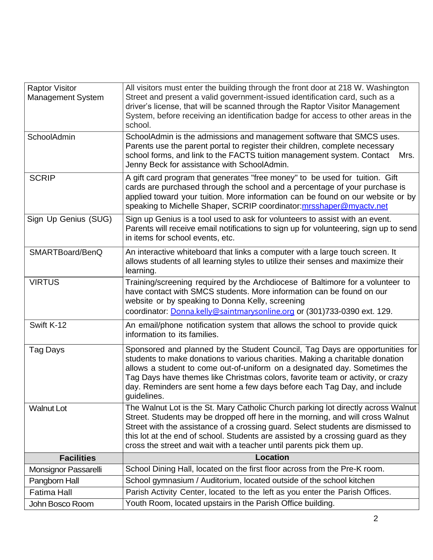| <b>Raptor Visitor</b>    | All visitors must enter the building through the front door at 218 W. Washington                                                                                                                                                                                                       |
|--------------------------|----------------------------------------------------------------------------------------------------------------------------------------------------------------------------------------------------------------------------------------------------------------------------------------|
| <b>Management System</b> | Street and present a valid government-issued identification card, such as a                                                                                                                                                                                                            |
|                          | driver's license, that will be scanned through the Raptor Visitor Management                                                                                                                                                                                                           |
|                          | System, before receiving an identification badge for access to other areas in the                                                                                                                                                                                                      |
|                          | school.                                                                                                                                                                                                                                                                                |
| SchoolAdmin              | SchoolAdmin is the admissions and management software that SMCS uses.<br>Parents use the parent portal to register their children, complete necessary<br>school forms, and link to the FACTS tuition management system. Contact<br>Mrs.<br>Jenny Beck for assistance with SchoolAdmin. |
| <b>SCRIP</b>             | A gift card program that generates "free money" to be used for tuition. Gift                                                                                                                                                                                                           |
|                          | cards are purchased through the school and a percentage of your purchase is                                                                                                                                                                                                            |
|                          | applied toward your tuition. More information can be found on our website or by                                                                                                                                                                                                        |
|                          | speaking to Michelle Shaper, SCRIP coordinator: mrsshaper@myactv.net                                                                                                                                                                                                                   |
| Sign Up Genius (SUG)     | Sign up Genius is a tool used to ask for volunteers to assist with an event.                                                                                                                                                                                                           |
|                          | Parents will receive email notifications to sign up for volunteering, sign up to send                                                                                                                                                                                                  |
|                          | in items for school events, etc.                                                                                                                                                                                                                                                       |
| SMARTBoard/BenQ          | An interactive whiteboard that links a computer with a large touch screen. It                                                                                                                                                                                                          |
|                          | allows students of all learning styles to utilize their senses and maximize their                                                                                                                                                                                                      |
|                          | learning.                                                                                                                                                                                                                                                                              |
| <b>VIRTUS</b>            | Training/screening required by the Archdiocese of Baltimore for a volunteer to                                                                                                                                                                                                         |
|                          | have contact with SMCS students. More information can be found on our                                                                                                                                                                                                                  |
|                          | website or by speaking to Donna Kelly, screening                                                                                                                                                                                                                                       |
|                          | coordinator: Donna.kelly@saintmarysonline.org or (301)733-0390 ext. 129.                                                                                                                                                                                                               |
| Swift K-12               | An email/phone notification system that allows the school to provide quick                                                                                                                                                                                                             |
|                          | information to its families.                                                                                                                                                                                                                                                           |
| Tag Days                 | Sponsored and planned by the Student Council, Tag Days are opportunities for                                                                                                                                                                                                           |
|                          | students to make donations to various charities. Making a charitable donation                                                                                                                                                                                                          |
|                          | allows a student to come out-of-uniform on a designated day. Sometimes the                                                                                                                                                                                                             |
|                          | Tag Days have themes like Christmas colors, favorite team or activity, or crazy                                                                                                                                                                                                        |
|                          | day. Reminders are sent home a few days before each Tag Day, and include                                                                                                                                                                                                               |
|                          | guidelines.                                                                                                                                                                                                                                                                            |
| <b>Walnut Lot</b>        | The Walnut Lot is the St. Mary Catholic Church parking lot directly across Walnut                                                                                                                                                                                                      |
|                          | Street. Students may be dropped off here in the morning, and will cross Walnut                                                                                                                                                                                                         |
|                          | Street with the assistance of a crossing guard. Select students are dismissed to                                                                                                                                                                                                       |
|                          | this lot at the end of school. Students are assisted by a crossing guard as they                                                                                                                                                                                                       |
|                          | cross the street and wait with a teacher until parents pick them up.                                                                                                                                                                                                                   |
| <b>Facilities</b>        | <b>Location</b>                                                                                                                                                                                                                                                                        |
| Monsignor Passarelli     | School Dining Hall, located on the first floor across from the Pre-K room.                                                                                                                                                                                                             |
| Pangborn Hall            | School gymnasium / Auditorium, located outside of the school kitchen                                                                                                                                                                                                                   |
| <b>Fatima Hall</b>       | Parish Activity Center, located to the left as you enter the Parish Offices.                                                                                                                                                                                                           |
| John Bosco Room          | Youth Room, located upstairs in the Parish Office building.                                                                                                                                                                                                                            |